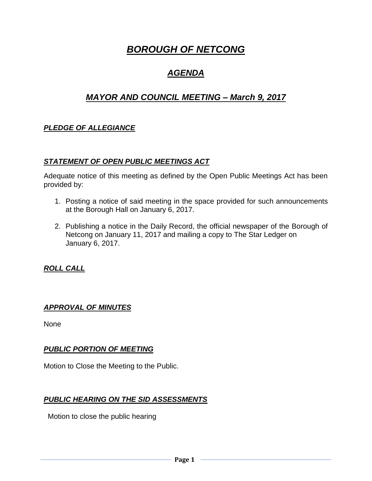# *BOROUGH OF NETCONG*

# *AGENDA*

# *MAYOR AND COUNCIL MEETING – March 9, 2017*

# *PLEDGE OF ALLEGIANCE*

#### *STATEMENT OF OPEN PUBLIC MEETINGS ACT*

Adequate notice of this meeting as defined by the Open Public Meetings Act has been provided by:

- 1. Posting a notice of said meeting in the space provided for such announcements at the Borough Hall on January 6, 2017.
- 2. Publishing a notice in the Daily Record, the official newspaper of the Borough of Netcong on January 11, 2017 and mailing a copy to The Star Ledger on January 6, 2017.

*ROLL CALL*

#### *APPROVAL OF MINUTES*

None

#### *PUBLIC PORTION OF MEETING*

Motion to Close the Meeting to the Public.

#### *PUBLIC HEARING ON THE SID ASSESSMENTS*

Motion to close the public hearing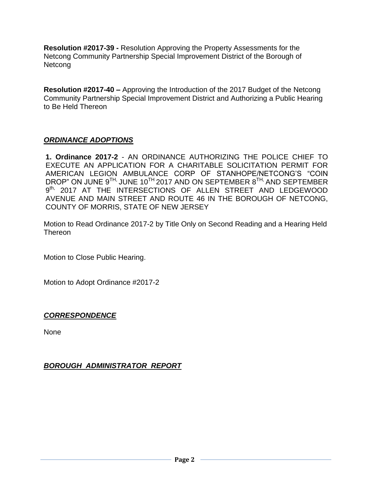**Resolution #2017-39 -** Resolution Approving the Property Assessments for the Netcong Community Partnership Special Improvement District of the Borough of Netcong

**Resolution #2017-40 –** Approving the Introduction of the 2017 Budget of the Netcong Community Partnership Special Improvement District and Authorizing a Public Hearing to Be Held Thereon

# *ORDINANCE ADOPTIONS*

**1. Ordinance 2017-2** - AN ORDINANCE AUTHORIZING THE POLICE CHIEF TO EXECUTE AN APPLICATION FOR A CHARITABLE SOLICITATION PERMIT FOR AMERICAN LEGION AMBULANCE CORP OF STANHOPE/NETCONG'S "COIN DROP" ON JUNE 9<sup>TH,</sup> JUNE 10<sup>TH</sup> 2017 AND ON SEPTEMBER 8<sup>TH,</sup> AND SEPTEMBER 9<sup>th,</sup> 2017 AT THE INTERSECTIONS OF ALLEN STREET AND LEDGEWOOD AVENUE AND MAIN STREET AND ROUTE 46 IN THE BOROUGH OF NETCONG, COUNTY OF MORRIS, STATE OF NEW JERSEY

Motion to Read Ordinance 2017-2 by Title Only on Second Reading and a Hearing Held Thereon

Motion to Close Public Hearing.

Motion to Adopt Ordinance #2017-2

#### *CORRESPONDENCE*

None

#### *BOROUGH ADMINISTRATOR REPORT*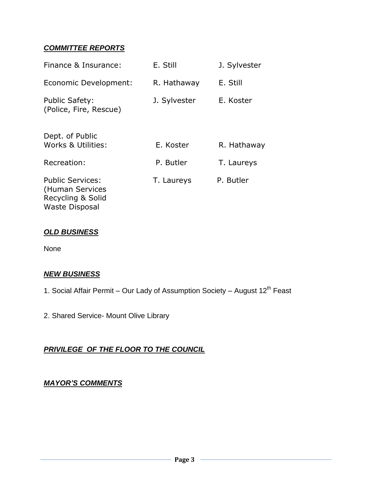# *COMMITTEE REPORTS*

| Finance & Insurance:                                                                     | E. Still     | J. Sylvester |
|------------------------------------------------------------------------------------------|--------------|--------------|
| Economic Development:                                                                    | R. Hathaway  | E. Still     |
| <b>Public Safety:</b><br>(Police, Fire, Rescue)                                          | J. Sylvester | E. Koster    |
| Dept. of Public<br>Works & Utilities:                                                    | E. Koster    | R. Hathaway  |
| Recreation:                                                                              | P. Butler    | T. Laureys   |
| <b>Public Services:</b><br>(Human Services<br>Recycling & Solid<br><b>Waste Disposal</b> | T. Laureys   | P. Butler    |

# *OLD BUSINESS*

None

#### *NEW BUSINESS*

- 1. Social Affair Permit Our Lady of Assumption Society August 12<sup>th</sup> Feast
- 2. Shared Service- Mount Olive Library

# *PRIVILEGE OF THE FLOOR TO THE COUNCIL*

### *MAYOR'S COMMENTS*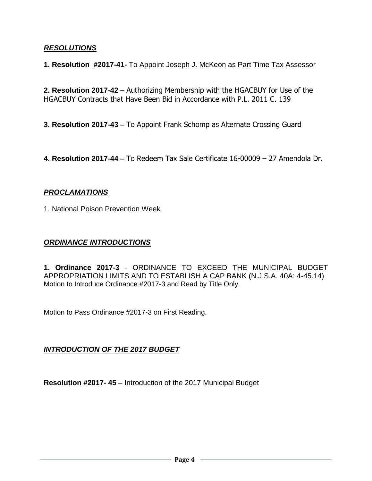#### *RESOLUTIONS*

**1. Resolution #2017-41-** To Appoint Joseph J. McKeon as Part Time Tax Assessor

**2. Resolution 2017-42 –** Authorizing Membership with the HGACBUY for Use of the HGACBUY Contracts that Have Been Bid in Accordance with P.L. 2011 C. 139

- **3. Resolution 2017-43 –** To Appoint Frank Schomp as Alternate Crossing Guard
- **4. Resolution 2017-44 –** To Redeem Tax Sale Certificate 16-00009 27 Amendola Dr.

### *PROCLAMATIONS*

1. National Poison Prevention Week

#### *ORDINANCE INTRODUCTIONS*

**1. Ordinance 2017-3** - ORDINANCE TO EXCEED THE MUNICIPAL BUDGET APPROPRIATION LIMITS AND TO ESTABLISH A CAP BANK (N.J.S.A. 40A: 4-45.14) Motion to Introduce Ordinance #2017-3 and Read by Title Only.

Motion to Pass Ordinance #2017-3 on First Reading.

# *INTRODUCTION OF THE 2017 BUDGET*

**Resolution #2017- 45** – Introduction of the 2017 Municipal Budget